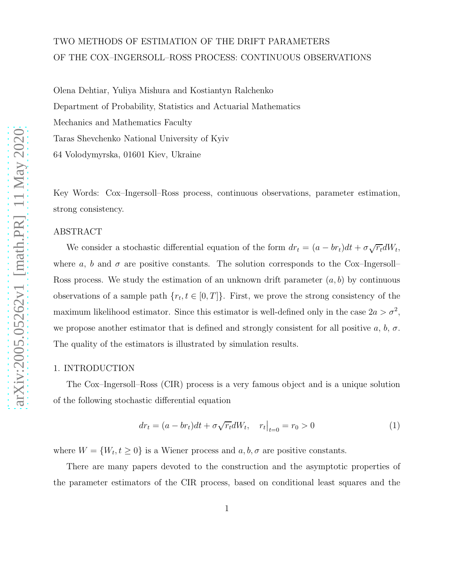# TWO METHODS OF ESTIMATION OF THE DRIFT PARAMETERS OF THE COX–INGERSOLL–ROSS PROCESS: CONTINUOUS OBSERVATIONS

Olena Dehtiar, Yuliya Mishura and Kostiantyn Ralchenko Department of Probability, Statistics and Actuarial Mathematics Mechanics and Mathematics Faculty Taras Shevchenko National University of Kyiv 64 Volodymyrska, 01601 Kiev, Ukraine

Key Words: Cox–Ingersoll–Ross process, continuous observations, parameter estimation, strong consistency.

## ABSTRACT

We consider a stochastic differential equation of the form  $dr_t = (a - br_t)dt + \sigma \sqrt{r_t}dW_t$ , where a, b and  $\sigma$  are positive constants. The solution corresponds to the Cox–Ingersoll– Ross process. We study the estimation of an unknown drift parameter  $(a, b)$  by continuous observations of a sample path  $\{r_t, t \in [0, T]\}$ . First, we prove the strong consistency of the maximum likelihood estimator. Since this estimator is well-defined only in the case  $2a > \sigma^2$ , we propose another estimator that is defined and strongly consistent for all positive a, b,  $\sigma$ . The quality of the estimators is illustrated by simulation results.

### 1. INTRODUCTION

The Cox–Ingersoll–Ross (CIR) process is a very famous object and is a unique solution of the following stochastic differential equation

<span id="page-0-0"></span>
$$
dr_t = (a - br_t)dt + \sigma \sqrt{r_t}dW_t, \quad r_t|_{t=0} = r_0 > 0
$$
 (1)

where  $W = \{W_t, t \geq 0\}$  is a Wiener process and  $a, b, \sigma$  are positive constants.

There are many papers devoted to the construction and the asymptotic properties of the parameter estimators of the CIR process, based on conditional least squares and the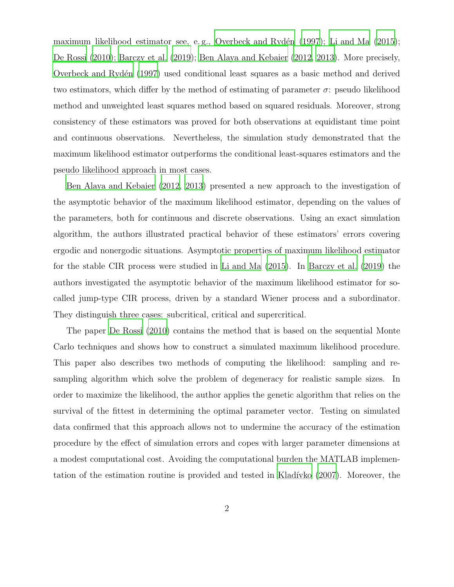maximum likelihood estimator see, e.g., Overbeck and Rydén  $(1997)$ ; Li and Ma  $(2015)$ ; [De Rossi \(2010\)](#page-19-0); [Barczy et al. \(2019](#page-19-1)); [Ben Alaya and Kebaier \(2012](#page-19-2), [2013\)](#page-19-3). More precisely, Overbeck and Ryden (1997) used conditional least squares as a basic method and derived two estimators, which differ by the method of estimating of parameter  $\sigma$ : pseudo likelihood method and unweighted least squares method based on squared residuals. Moreover, strong consistency of these estimators was proved for both observations at equidistant time point and continuous observations. Nevertheless, the simulation study demonstrated that the maximum likelihood estimator outperforms the conditional least-squares estimators and the pseudo likelihood approach in most cases.

[Ben Alaya and Kebaier \(2012](#page-19-2), [2013\)](#page-19-3) presented a new approach to the investigation of the asymptotic behavior of the maximum likelihood estimator, depending on the values of the parameters, both for continuous and discrete observations. Using an exact simulation algorithm, the authors illustrated practical behavior of these estimators' errors covering ergodic and nonergodic situations. Asymptotic properties of maximum likelihood estimator for the stable CIR process were studied in [Li and Ma \(2015](#page-20-1)). In [Barczy et al. \(2019\)](#page-19-1) the authors investigated the asymptotic behavior of the maximum likelihood estimator for socalled jump-type CIR process, driven by a standard Wiener process and a subordinator. They distinguish three cases: subcritical, critical and supercritical.

The paper [De Rossi \(2010\)](#page-19-0) contains the method that is based on the sequential Monte Carlo techniques and shows how to construct a simulated maximum likelihood procedure. This paper also describes two methods of computing the likelihood: sampling and resampling algorithm which solve the problem of degeneracy for realistic sample sizes. In order to maximize the likelihood, the author applies the genetic algorithm that relies on the survival of the fittest in determining the optimal parameter vector. Testing on simulated data confirmed that this approach allows not to undermine the accuracy of the estimation procedure by the effect of simulation errors and copes with larger parameter dimensions at a modest computational cost. Avoiding the computational burden the MATLAB implementation of the estimation routine is provided and tested in Kladívko (2007). Moreover, the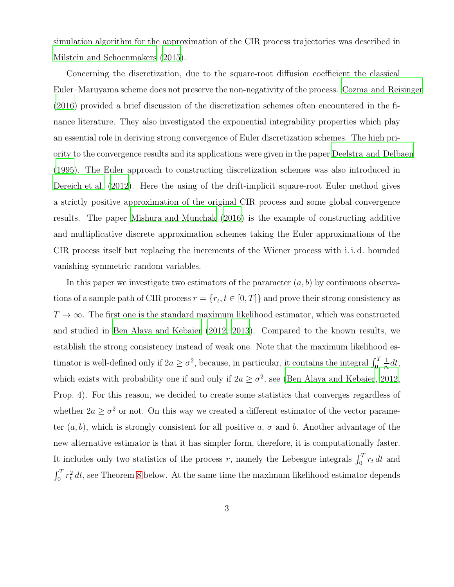simulation algorithm for the approximation of the CIR process trajectories was described in [Milstein and Schoenmakers \(2015\)](#page-20-3).

Concerning the discretization, due to the square-root diffusion coefficient the classical Euler–Maruyama scheme does not preserve the non-negativity of the process. [Cozma and Reisinger](#page-19-4) [\(2016\)](#page-19-4) provided a brief discussion of the discretization schemes often encountered in the finance literature. They also investigated the exponential integrability properties which play an essential role in deriving strong convergence of Euler discretization schemes. The high priority to the convergence results and its applications were given in the paper [Deelstra and Delbaen](#page-19-5) [\(1995\)](#page-19-5). The Euler approach to constructing discretization schemes was also introduced in [Dereich et al. \(2012](#page-19-6)). Here the using of the drift-implicit square-root Euler method gives a strictly positive approximation of the original CIR process and some global convergence results. The paper [Mishura and Munchak \(2016](#page-20-4)) is the example of constructing additive and multiplicative discrete approximation schemes taking the Euler approximations of the CIR process itself but replacing the increments of the Wiener process with i. i. d. bounded vanishing symmetric random variables.

In this paper we investigate two estimators of the parameter  $(a, b)$  by continuous observations of a sample path of CIR process  $r = \{r_t, t \in [0, T]\}$  and prove their strong consistency as  $T \to \infty$ . The first one is the standard maximum likelihood estimator, which was constructed and studied in [Ben Alaya and Kebaier \(2012,](#page-19-2) [2013\)](#page-19-3). Compared to the known results, we establish the strong consistency instead of weak one. Note that the maximum likelihood estimator is well-defined only if  $2a \ge \sigma^2$ , because, in particular, it contains the integral  $\int_0^T$ 1  $\frac{1}{r_t}dt$ , which exists with probability one if and only if  $2a \geq \sigma^2$ , see [\(Ben Alaya and Kebaier](#page-19-2), [2012,](#page-19-2) Prop. 4). For this reason, we decided to create some statistics that converges regardless of whether  $2a \ge \sigma^2$  or not. On this way we created a different estimator of the vector parameter  $(a, b)$ , which is strongly consistent for all positive a,  $\sigma$  and b. Another advantage of the new alternative estimator is that it has simpler form, therefore, it is computationally faster. It includes only two statistics of the process r, namely the Lebesgue integrals  $\int_0^T r_t dt$  and  $\int_0^T r_t^2 dt$ , see Theorem [8](#page-13-0) below. At the same time the maximum likelihood estimator depends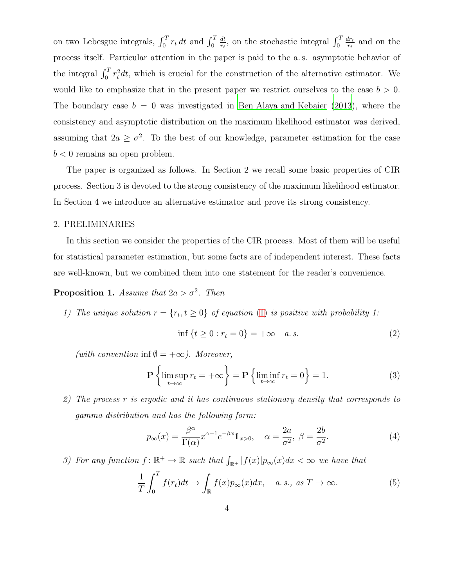on two Lebesgue integrals,  $\int_0^T r_t dt$  and  $\int_0^T$ dt  $\frac{dt}{r_t}$ , on the stochastic integral  $\int_0^T$  $dr_t$  $\frac{dr_t}{r_t}$  and on the process itself. Particular attention in the paper is paid to the a. s. asymptotic behavior of the integral  $\int_0^T r_t^2 dt$ , which is crucial for the construction of the alternative estimator. We would like to emphasize that in the present paper we restrict ourselves to the case  $b > 0$ . The boundary case  $b = 0$  was investigated in [Ben Alaya and Kebaier \(2013\)](#page-19-3), where the consistency and asymptotic distribution on the maximum likelihood estimator was derived, assuming that  $2a \geq \sigma^2$ . To the best of our knowledge, parameter estimation for the case  $b < 0$  remains an open problem.

The paper is organized as follows. In Section 2 we recall some basic properties of CIR process. Section 3 is devoted to the strong consistency of the maximum likelihood estimator. In Section 4 we introduce an alternative estimator and prove its strong consistency.

## 2. PRELIMINARIES

In this section we consider the properties of the CIR process. Most of them will be useful for statistical parameter estimation, but some facts are of independent interest. These facts are well-known, but we combined them into one statement for the reader's convenience.

# <span id="page-3-0"></span>**Proposition 1.** Assume that  $2a > \sigma^2$ . Then

1) The unique solution  $r = \{r_t, t \geq 0\}$  of equation [\(1\)](#page-0-0) is positive with probability 1:

<span id="page-3-1"></span>
$$
\inf \{ t \ge 0 : r_t = 0 \} = +\infty \quad a.s. \tag{2}
$$

(with convention inf  $\emptyset = +\infty$ ). Moreover,

<span id="page-3-2"></span>
$$
\mathbf{P}\left\{\limsup_{t\to\infty}r_t=+\infty\right\}=\mathbf{P}\left\{\liminf_{t\to\infty}r_t=0\right\}=1.
$$
 (3)

2) The process r is ergodic and it has continuous stationary density that corresponds to gamma distribution and has the following form:

<span id="page-3-3"></span>
$$
p_{\infty}(x) = \frac{\beta^{\alpha}}{\Gamma(\alpha)} x^{\alpha - 1} e^{-\beta x} \mathbb{1}_{x > 0}, \quad \alpha = \frac{2a}{\sigma^2}, \ \beta = \frac{2b}{\sigma^2}.
$$
 (4)

3) For any function  $f: \mathbb{R}^+ \to \mathbb{R}$  such that  $\int_{\mathbb{R}^+} |f(x)| p_{\infty}(x) dx < \infty$  we have that

<span id="page-3-4"></span>
$$
\frac{1}{T} \int_0^T f(r_t) dt \to \int_{\mathbb{R}} f(x) p_{\infty}(x) dx, \quad a. s., \text{ as } T \to \infty.
$$
 (5)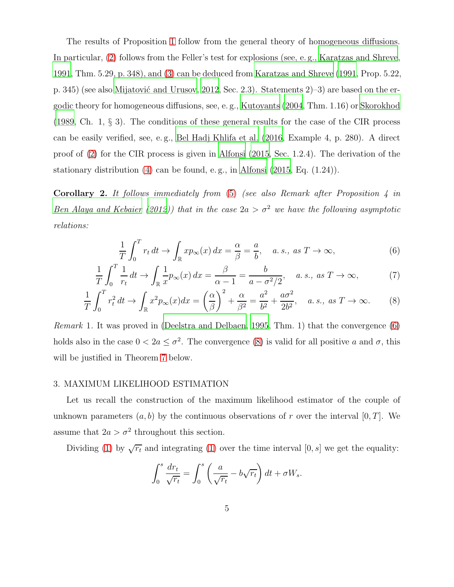The results of Proposition [1](#page-3-0) follow from the general theory of homogeneous diffusions. In particular, [\(2\)](#page-3-1) follows from the Feller's test for explosions (see, e. g., [Karatzas and Shreve,](#page-20-5) [1991,](#page-20-5) Thm. 5.29, p. 348), and [\(3\)](#page-3-2) can be deduced from [Karatzas and Shreve \(1991,](#page-20-5) Prop. 5.22, p. 345) (see also Mijatović and Urusov, [2012](#page-20-6), Sec. 2.3). Statements  $2$ –3) are based on the ergodic theory for homogeneous diffusions, see, e. g., [Kutoyants \(2004](#page-20-7), Thm. 1.16) or [Skorokhod](#page-20-8) [\(1989,](#page-20-8) Ch. 1, § 3). The conditions of these general results for the case of the CIR process can be easily verified, see, e. g., [Bel Hadj Khlifa et al. \(2016,](#page-19-7) Example 4, p. 280). A direct proof of [\(2\)](#page-3-1) for the CIR process is given in [Alfonsi \(2015](#page-19-8), Sec. 1.2.4). The derivation of the stationary distribution  $(4)$  can be found, e.g., in Alfonsi  $(2015, Eq. (1.24)).$ 

<span id="page-4-2"></span>**Corollary 2.** It follows immediately from  $(5)$  (see also Remark after Proposition 4 in [Ben Alaya and Kebaier \(2012\)](#page-19-2)) that in the case  $2a > \sigma^2$  we have the following asymptotic relations:

<span id="page-4-1"></span><span id="page-4-0"></span>
$$
\frac{1}{T} \int_0^T r_t \, dt \to \int_{\mathbb{R}} x p_{\infty}(x) \, dx = \frac{\alpha}{\beta} = \frac{a}{b}, \quad a. \, s., \, as \, T \to \infty,\tag{6}
$$

$$
\frac{1}{T} \int_0^T \frac{1}{r_t} dt \to \int_{\mathbb{R}} \frac{1}{x} p_{\infty}(x) dx = \frac{\beta}{\alpha - 1} = \frac{b}{a - \sigma^2 / 2}, \quad a. s., \text{ as } T \to \infty,
$$
 (7)

$$
\frac{1}{T} \int_0^T r_t^2 dt \to \int_{\mathbb{R}} x^2 p_\infty(x) dx = \left(\frac{\alpha}{\beta}\right)^2 + \frac{\alpha}{\beta^2} = \frac{a^2}{b^2} + \frac{a\sigma^2}{2b^2}, \quad a. s., \text{ as } T \to \infty.
$$
 (8)

<span id="page-4-3"></span>Remark 1. It was proved in [\(Deelstra and Delbaen, 1995](#page-19-5), Thm. 1) that the convergence [\(6\)](#page-4-0) holds also in the case  $0 < 2a \leq \sigma^2$ . The convergence [\(8\)](#page-4-1) is valid for all positive a and  $\sigma$ , this will be justified in Theorem [7](#page-11-0) below.

### 3. MAXIMUM LIKELIHOOD ESTIMATION

Let us recall the construction of the maximum likelihood estimator of the couple of unknown parameters  $(a, b)$  by the continuous observations of r over the interval  $[0, T]$ . We assume that  $2a > \sigma^2$  throughout this section.

Dividing [\(1\)](#page-0-0) by  $\sqrt{r_t}$  and integrating (1) over the time interval [0, s] we get the equality:

$$
\int_0^s \frac{dr_t}{\sqrt{r_t}} = \int_0^s \left(\frac{a}{\sqrt{r_t}} - b\sqrt{r_t}\right) dt + \sigma W_s.
$$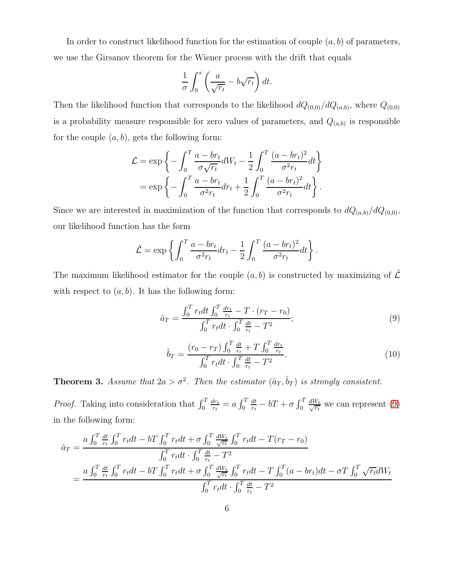In order to construct likelihood function for the estimation of couple  $(a, b)$  of parameters, we use the Girsanov theorem for the Wiener process with the drift that equals

$$
\frac{1}{\sigma} \int_0^s \left( \frac{a}{\sqrt{r_t}} - b\sqrt{r_t} \right) dt.
$$

Then the likelihood function that corresponds to the likelihood  $dQ_{(0,0)}/dQ_{(a,b)}$ , where  $Q_{(0,0)}$ is a probability measure responsible for zero values of parameters, and  $Q_{(a,b)}$  is responsible for the couple  $(a, b)$ , gets the following form:

$$
\mathcal{L} = \exp\left\{-\int_0^T \frac{a - br_t}{\sigma \sqrt{r_t}} dW_t - \frac{1}{2} \int_0^T \frac{(a - br_t)^2}{\sigma^2 r_t} dt\right\}
$$
  
= 
$$
\exp\left\{-\int_0^T \frac{a - br_t}{\sigma^2 r_t} dr_t + \frac{1}{2} \int_0^T \frac{(a - br_t)^2}{\sigma^2 r_t} dt\right\}.
$$

Since we are interested in maximization of the function that corresponds to  $dQ_{(a,b)}/dQ_{(0,0)}$ , our likelihood function has the form

$$
\tilde{\mathcal{L}} = \exp\left\{ \int_0^T \frac{a - br_t}{\sigma^2 r_t} dr_t - \frac{1}{2} \int_0^T \frac{(a - br_t)^2}{\sigma^2 r_t} dt \right\}.
$$

The maximum likelihood estimator for the couple  $(a, b)$  is constructed by maximizing of  $\tilde{\mathcal{L}}$ with respect to  $(a, b)$ . It has the following form:

<span id="page-5-0"></span>
$$
\hat{a}_T = \frac{\int_0^T r_t dt \int_0^T \frac{dr_t}{r_t} - T \cdot (r_T - r_0)}{\int_0^T r_t dt \cdot \int_0^T \frac{dt}{r_t} - T^2};\tag{9}
$$

<span id="page-5-1"></span>
$$
\hat{b}_T = \frac{(r_0 - r_T) \int_0^T \frac{dt}{r_t} + T \int_0^T \frac{dr_t}{r_t}}{\int_0^T r_t dt \cdot \int_0^T \frac{dt}{r_t} - T^2}.
$$
\n(10)

<span id="page-5-2"></span>**Theorem 3.** Assume that  $2a > \sigma^2$ . Then the estimator  $(\hat{a}_T, \hat{b}_T)$  is strongly consistent.

*Proof.* Taking into consideration that  $\int_0^T$  $dr_t$  $\frac{dr_t}{r_t} = a \int_0^T$ dt  $\frac{dt}{r_t} - bT + \sigma \int_0^T$  $\frac{dW_t}{\sqrt{r_t}}$  we can represent [\(9\)](#page-5-0) in the following form:

$$
\hat{a}_T = \frac{a \int_0^T \frac{dt}{r_t} \int_0^T r_t dt - bT \int_0^T r_t dt + \sigma \int_0^T \frac{dW_t}{\sqrt{r_t}} \int_0^T r_t dt - T(r_T - r_0)}{\int_0^T r_t dt \cdot \int_0^T \frac{dt}{r_t} - T^2}
$$
\n
$$
= \frac{a \int_0^T \frac{dt}{r_t} \int_0^T r_t dt - bT \int_0^T r_t dt + \sigma \int_0^T \frac{dW_t}{\sqrt{r_t}} \int_0^T r_t dt - T \int_0^T (a - br_t) dt - \sigma T \int_0^T \sqrt{r_t} dW_t}{\int_0^T r_t dt \cdot \int_0^T \frac{dt}{r_t} - T^2}
$$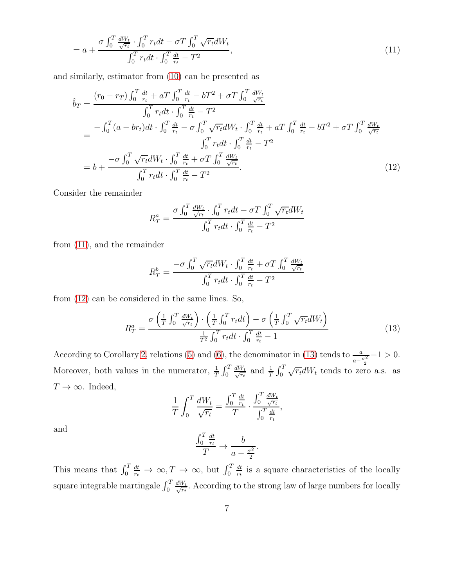$$
= a + \frac{\sigma \int_0^T \frac{dW_t}{\sqrt{r_t}} \cdot \int_0^T r_t dt - \sigma T \int_0^T \sqrt{r_t} dW_t}{\int_0^T r_t dt \cdot \int_0^T \frac{dt}{r_t} - T^2},\tag{11}
$$

and similarly, estimator from [\(10\)](#page-5-1) can be presented as

$$
\hat{b}_T = \frac{(r_0 - r_T) \int_0^T \frac{dt}{r_t} + aT \int_0^T \frac{dt}{r_t} - bT^2 + \sigma T \int_0^T \frac{dW_t}{\sqrt{r_t}}}{\int_0^T r_t dt \cdot \int_0^T \frac{dt}{r_t} - T^2}
$$
\n
$$
= \frac{-\int_0^T (a - br_t)dt \cdot \int_0^T \frac{dt}{r_t} - \sigma \int_0^T \sqrt{r_t} dW_t \cdot \int_0^T \frac{dt}{r_t} + aT \int_0^T \frac{dt}{r_t} - bT^2 + \sigma T \int_0^T \frac{dW_t}{\sqrt{r_t}}}{\int_0^T r_t dt \cdot \int_0^T \frac{dt}{r_t} + \sigma T \int_0^T \frac{dW_t}{\sqrt{r_t}}}
$$
\n
$$
= b + \frac{-\sigma \int_0^T \sqrt{r_t} dW_t \cdot \int_0^T \frac{dt}{r_t} + \sigma T \int_0^T \frac{dW_t}{\sqrt{r_t}}}{\int_0^T r_t dt \cdot \int_0^T \frac{dt}{r_t} - T^2}.
$$
\n(12)

Consider the remainder

<span id="page-6-1"></span><span id="page-6-0"></span>
$$
R_T^a = \frac{\sigma \int_0^T \frac{dW_t}{\sqrt{r_t}} \cdot \int_0^T r_t dt - \sigma T \int_0^T \sqrt{r_t} dW_t}{\int_0^T r_t dt \cdot \int_0^T \frac{dt}{r_t} - T^2}
$$

from [\(11\)](#page-6-0), and the remainder

$$
R_T^b = \frac{-\sigma \int_0^T \sqrt{r_t} dW_t \cdot \int_0^T \frac{dt}{r_t} + \sigma T \int_0^T \frac{dW_t}{\sqrt{r_t}}}{\int_0^T r_t dt \cdot \int_0^T \frac{dt}{r_t} - T^2}
$$

from [\(12\)](#page-6-1) can be considered in the same lines. So,

$$
R_T^a = \frac{\sigma \left(\frac{1}{T} \int_0^T \frac{dW_t}{\sqrt{r_t}}\right) \cdot \left(\frac{1}{T} \int_0^T r_t dt\right) - \sigma \left(\frac{1}{T} \int_0^T \sqrt{r_t} dW_t\right)}{\frac{1}{T^2} \int_0^T r_t dt \cdot \int_0^T \frac{dt}{r_t} - 1} \tag{13}
$$

<span id="page-6-2"></span>.

According to Corollary [2,](#page-4-2) relations [\(5\)](#page-3-4) and [\(6\)](#page-4-0), the denominator in [\(13\)](#page-6-2) tends to  $\frac{a}{a}$  $\frac{a}{a-\frac{\sigma^2}{2}}-1>0.$ Moreover, both values in the numerator,  $\frac{1}{T} \int_0^T$  $\frac{dW_t}{\sqrt{r_t}}$  and  $\frac{1}{T} \int_0^T \sqrt{r_t} dW_t$  tends to zero a.s. as  $T\rightarrow\infty.$  Indeed,

$$
\frac{1}{T} \int_0^T \frac{dW_t}{\sqrt{r_t}} = \frac{\int_0^T \frac{dt}{r_t}}{T} \cdot \frac{\int_0^T \frac{dW_t}{\sqrt{r_t}}}{\int_0^T \frac{dt}{r_t}},
$$

and

$$
\frac{\int_0^T \frac{dt}{r_t}}{T} \to \frac{b}{a - \frac{\sigma^2}{2}}
$$

This means that  $\int_0^T$  $\frac{dt}{r_t} \to \infty, T \to \infty$ , but  $\int_0^T$ dt  $\frac{dt}{dt}$  is a square characteristics of the locally square integrable martingale  $\int_0^T$  $\frac{dW_t}{\sqrt{r_t}}$ . According to the strong law of large numbers for locally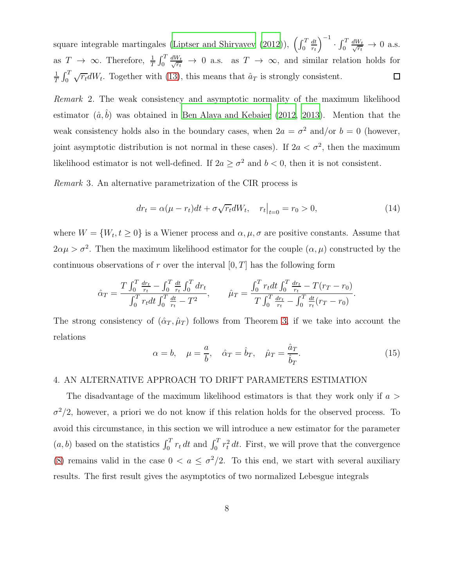$\left(\frac{dt}{r_t}\right)^{-1}$ square integrable martingales [\(Liptser and Shiryayev \(2012\)](#page-20-9)),  $\left(\int_0^T$  $\cdot$   $\int_0^T$ dt  $\frac{dW_t}{\sqrt{r_t}} \to 0$  a.s. as  $T \rightarrow \infty$ . Therefore,  $\frac{1}{T} \int_0^T$  $\frac{dW_t}{\sqrt{r_t}} \to 0$  a.s. as  $T \to \infty$ , and similar relation holds for  $\frac{1}{T} \int_0^T \sqrt{r_t} dW_t$ . Together with [\(13\)](#page-6-2), this means that  $\hat{a}_T$  is strongly consistent. 1  $\Box$ 

Remark 2. The weak consistency and asymptotic normality of the maximum likelihood estimator  $(\hat{a}, \hat{b})$  was obtained in [Ben Alaya and Kebaier \(2012,](#page-19-2) [2013](#page-19-3)). Mention that the weak consistency holds also in the boundary cases, when  $2a = \sigma^2$  and/or  $b = 0$  (however, joint asymptotic distribution is not normal in these cases). If  $2a < \sigma^2$ , then the maximum likelihood estimator is not well-defined. If  $2a \geq \sigma^2$  and  $b < 0$ , then it is not consistent.

Remark 3. An alternative parametrization of the CIR process is

<span id="page-7-0"></span>
$$
dr_t = \alpha(\mu - r_t)dt + \sigma \sqrt{r_t}dW_t, \quad r_t|_{t=0} = r_0 > 0,
$$
\n(14)

where  $W = \{W_t, t \ge 0\}$  is a Wiener process and  $\alpha, \mu, \sigma$  are positive constants. Assume that  $2\alpha\mu > \sigma^2$ . Then the maximum likelihood estimator for the couple  $(\alpha, \mu)$  constructed by the continuous observations of r over the interval  $[0, T]$  has the following form

$$
\hat{\alpha}_T = \frac{T \int_0^T \frac{dr_t}{r_t} - \int_0^T \frac{dt}{r_t} \int_0^T dr_t}{\int_0^T r_t dt \int_0^T \frac{dt}{r_t} - T^2}, \qquad \hat{\mu}_T = \frac{\int_0^T r_t dt \int_0^T \frac{dr_t}{r_t} - T(r_T - r_0)}{T \int_0^T \frac{dr_t}{r_t} - \int_0^T \frac{dt}{r_t}(r_T - r_0)}.
$$

The strong consistency of  $(\hat{\alpha}_T, \hat{\mu}_T)$  follows from Theorem [3,](#page-5-2) if we take into account the relations

<span id="page-7-1"></span>
$$
\alpha = b, \quad \mu = \frac{a}{b}, \quad \hat{\alpha}_T = \hat{b}_T, \quad \hat{\mu}_T = \frac{\hat{a}_T}{\hat{b}_T}.
$$
\n(15)

### 4. AN ALTERNATIVE APPROACH TO DRIFT PARAMETERS ESTIMATION

The disadvantage of the maximum likelihood estimators is that they work only if  $a >$  $\sigma^2/2$ , however, a priori we do not know if this relation holds for the observed process. To avoid this circumstance, in this section we will introduce a new estimator for the parameter  $(a, b)$  based on the statistics  $\int_0^T r_t dt$  and  $\int_0^T r_t^2 dt$ . First, we will prove that the convergence [\(8\)](#page-4-1) remains valid in the case  $0 < a \leq \sigma^2/2$ . To this end, we start with several auxiliary results. The first result gives the asymptotics of two normalized Lebesgue integrals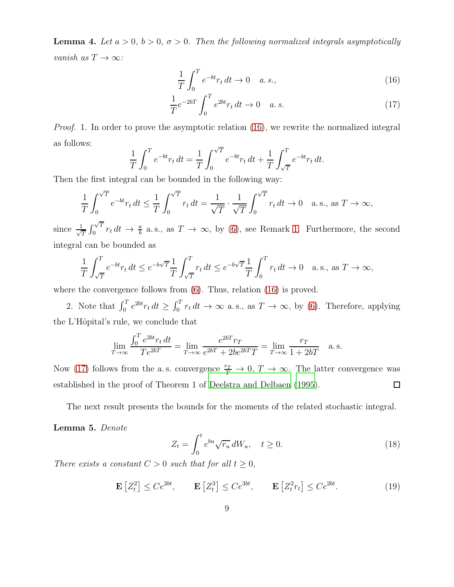**Lemma 4.** Let  $a > 0$ ,  $b > 0$ ,  $\sigma > 0$ . Then the following normalized integrals asymptotically vanish as  $T \to \infty$ :

<span id="page-8-1"></span><span id="page-8-0"></span>
$$
\frac{1}{T} \int_0^T e^{-bt} r_t dt \to 0 \quad a.s.,
$$
\n(16)

$$
\frac{1}{T}e^{-2bT} \int_0^T e^{2bt} r_t dt \to 0 \quad a. s.
$$
\n(17)

Proof. 1. In order to prove the asymptotic relation [\(16\)](#page-8-0), we rewrite the normalized integral as follows:

$$
\frac{1}{T} \int_0^T e^{-bt} r_t dt = \frac{1}{T} \int_0^{\sqrt{T}} e^{-bt} r_t dt + \frac{1}{T} \int_{\sqrt{T}}^T e^{-bt} r_t dt.
$$

Then the first integral can be bounded in the following way:

$$
\frac{1}{T} \int_0^{\sqrt{T}} e^{-bt} r_t dt \le \frac{1}{T} \int_0^{\sqrt{T}} r_t dt = \frac{1}{\sqrt{T}} \cdot \frac{1}{\sqrt{T}} \int_0^{\sqrt{T}} r_t dt \to 0 \quad \text{a.s., as } T \to \infty,
$$

since  $\frac{1}{\sqrt{2}}$  $\frac{1}{T}\int_0^{\sqrt{T}}$  $\int_0^{\sqrt{T}} r_t dt \rightarrow \frac{a}{b}$  a.s., as  $T \rightarrow \infty$ , by [\(6\)](#page-4-0), see Remark [1.](#page-4-3) Furthermore, the second integral can be bounded as

$$
\frac{1}{T} \int_{\sqrt{T}}^{T} e^{-bt} r_t dt \le e^{-b\sqrt{T}} \frac{1}{T} \int_{\sqrt{T}}^{T} r_t dt \le e^{-b\sqrt{T}} \frac{1}{T} \int_{0}^{T} r_t dt \to 0 \quad \text{a.s., as } T \to \infty,
$$

where the convergence follows from  $(6)$ . Thus, relation  $(16)$  is proved.

2. Note that  $\int_0^T e^{2bt} r_t dt \ge \int_0^T r_t dt \to \infty$  a.s., as  $T \to \infty$ , by [\(6\)](#page-4-0). Therefore, applying the L'Hôpital's rule, we conclude that

$$
\lim_{T \to \infty} \frac{\int_0^T e^{2bt} r_t dt}{T e^{2bT}} = \lim_{T \to \infty} \frac{e^{2bT} r_T}{e^{2bT} + 2be^{2bT} T} = \lim_{T \to \infty} \frac{r_T}{1 + 2bT} \quad \text{a.s.}
$$

Now [\(17\)](#page-8-1) follows from the a.s. convergence  $\frac{r_T}{T} \to 0$ ,  $T \to \infty$ . The latter convergence was established in the proof of Theorem 1 of [Deelstra and Delbaen \(1995](#page-19-5)).  $\Box$ 

The next result presents the bounds for the moments of the related stochastic integral.

Lemma 5. Denote

<span id="page-8-2"></span>
$$
Z_t = \int_0^t e^{bu} \sqrt{r_u} dW_u, \quad t \ge 0.
$$
 (18)

There exists a constant  $C > 0$  such that for all  $t \geq 0$ ,

<span id="page-8-3"></span>
$$
\mathbf{E}\left[Z_t^2\right] \le Ce^{2bt}, \qquad \mathbf{E}\left[Z_t^3\right] \le Ce^{3bt}, \qquad \mathbf{E}\left[Z_t^2r_t\right] \le Ce^{2bt}.\tag{19}
$$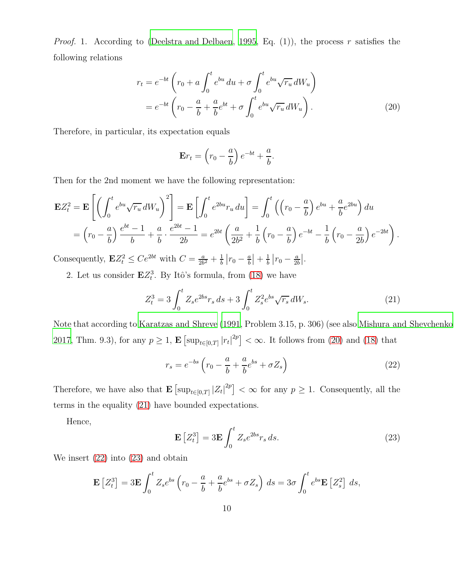*Proof.* 1. According to [\(Deelstra and Delbaen, 1995,](#page-19-5) Eq. (1)), the process r satisfies the following relations

$$
r_t = e^{-bt} \left( r_0 + a \int_0^t e^{bu} du + \sigma \int_0^t e^{bu} \sqrt{r_u} dW_u \right)
$$
  
= 
$$
e^{-bt} \left( r_0 - \frac{a}{b} + \frac{a}{b} e^{bt} + \sigma \int_0^t e^{bu} \sqrt{r_u} dW_u \right).
$$
 (20)

Therefore, in particular, its expectation equals

<span id="page-9-0"></span>
$$
\mathbf{E}r_t = \left(r_0 - \frac{a}{b}\right)e^{-bt} + \frac{a}{b}.
$$

Then for the 2nd moment we have the following representation:

$$
\mathbf{E}Z_t^2 = \mathbf{E} \left[ \left( \int_0^t e^{bu} \sqrt{r_u} dW_u \right)^2 \right] = \mathbf{E} \left[ \int_0^t e^{2bu} r_u du \right] = \int_0^t \left( \left( r_0 - \frac{a}{b} \right) e^{bu} + \frac{a}{b} e^{2bu} \right) du
$$
  
=  $\left( r_0 - \frac{a}{b} \right) \frac{e^{bt} - 1}{b} + \frac{a}{b} \cdot \frac{e^{2bt} - 1}{2b} = e^{2bt} \left( \frac{a}{2b^2} + \frac{1}{b} \left( r_0 - \frac{a}{b} \right) e^{-bt} - \frac{1}{b} \left( r_0 - \frac{a}{2b} \right) e^{-2bt} \right).$ 

Consequently,  $\mathbf{E}Z_t^2 \le Ce^{2bt}$  with  $C = \frac{a}{2b}$  $\frac{a}{2b^2} + \frac{1}{b}$  $rac{1}{b}$   $\left| r_0 - \frac{a}{b} \right|$  $\frac{a}{b}\Big| + \frac{1}{b}$  $rac{1}{b}$   $\left| r_0 - \frac{a}{2b} \right|$  $\frac{a}{2b}\Big|$ .

2. Let us consider  $\mathbf{E}Z_t^3$ . By Itô's formula, from [\(18\)](#page-8-2) we have

<span id="page-9-1"></span>
$$
Z_t^3 = 3 \int_0^t Z_s e^{2bs} r_s ds + 3 \int_0^t Z_s^2 e^{bs} \sqrt{r_s} dW_s.
$$
 (21)

Note that according to [Karatzas and Shreve \(1991](#page-20-5), Problem 3.15, p. 306) (see also [Mishura and Shevchenko](#page-20-10), [2017,](#page-20-10) Thm. 9.3), for any  $p \ge 1$ ,  $\mathbf{E} \left[ \sup_{t \in [0,T]} |r_t|^{2p} \right] < \infty$ . It follows from [\(20\)](#page-9-0) and [\(18\)](#page-8-2) that

<span id="page-9-2"></span>
$$
r_s = e^{-bs} \left( r_0 - \frac{a}{b} + \frac{a}{b} e^{bs} + \sigma Z_s \right) \tag{22}
$$

Therefore, we have also that  $\mathbf{E} \left[ \sup_{t \in [0,T]} |Z_t|^{2p} \right] < \infty$  for any  $p \geq 1$ . Consequently, all the terms in the equality [\(21\)](#page-9-1) have bounded expectations.

Hence,

<span id="page-9-3"></span>
$$
\mathbf{E}\left[Z_t^3\right] = 3\mathbf{E}\int_0^t Z_s e^{2bs} r_s ds. \tag{23}
$$

We insert [\(22\)](#page-9-2) into [\(23\)](#page-9-3) and obtain

$$
\mathbf{E}\left[Z_t^3\right] = 3\mathbf{E}\int_0^t Z_s e^{bs} \left(r_0 - \frac{a}{b} + \frac{a}{b}e^{bs} + \sigma Z_s\right) ds = 3\sigma \int_0^t e^{bs} \mathbf{E}\left[Z_s^2\right] ds,
$$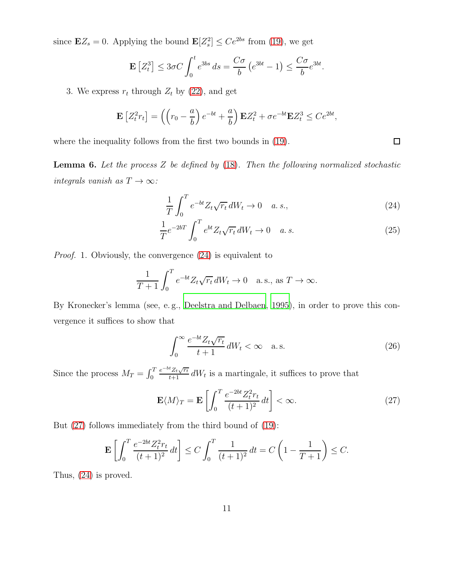since  $\mathbf{E}Z_s = 0$ . Applying the bound  $\mathbf{E}[Z_s^2] \le Ce^{2bs}$  from [\(19\)](#page-8-3), we get

$$
\mathbf{E}\left[Z_t^3\right] \le 3\sigma C \int_0^t e^{3bs} ds = \frac{C\sigma}{b} \left(e^{3bt} - 1\right) \le \frac{C\sigma}{b} e^{3bt}.
$$

3. We express  $r_t$  through  $Z_t$  by [\(22\)](#page-9-2), and get

$$
\mathbf{E}\left[Z_t^2 r_t\right] = \left(\left(r_0 - \frac{a}{b}\right)e^{-bt} + \frac{a}{b}\right)\mathbf{E}Z_t^2 + \sigma e^{-bt}\mathbf{E}Z_t^3 \le Ce^{2bt},
$$

where the inequality follows from the first two bounds in [\(19\)](#page-8-3).

<span id="page-10-4"></span>**Lemma 6.** Let the process  $Z$  be defined by  $(18)$ . Then the following normalized stochastic integrals vanish as  $T \to \infty$ :

$$
\frac{1}{T} \int_0^T e^{-bt} Z_t \sqrt{r_t} dW_t \to 0 \quad a. s., \tag{24}
$$

$$
\frac{1}{T}e^{-2bT} \int_0^T e^{bt} Z_t \sqrt{r_t} dW_t \to 0 \quad a.s.
$$
\n(25)

Proof. 1. Obviously, the convergence [\(24\)](#page-10-0) is equivalent to

$$
\frac{1}{T+1} \int_0^T e^{-bt} Z_t \sqrt{r_t} dW_t \to 0 \quad \text{a.s., as } T \to \infty.
$$

By Kronecker's lemma (see, e. g., [Deelstra and Delbaen, 1995\)](#page-19-5), in order to prove this convergence it suffices to show that

<span id="page-10-3"></span>
$$
\int_0^\infty \frac{e^{-bt} Z_t \sqrt{r_t}}{t+1} \, dW_t < \infty \quad \text{a.s.} \tag{26}
$$

Since the process  $M_T = \int_0^T$  $\frac{e^{-bt}Z_t\sqrt{rt}}{t+1}dW_t$  is a martingale, it suffices to prove that

<span id="page-10-1"></span>
$$
\mathbf{E}\langle M\rangle_T = \mathbf{E}\left[\int_0^T \frac{e^{-2bt}Z_t^2r_t}{(t+1)^2}dt\right] < \infty. \tag{27}
$$

But [\(27\)](#page-10-1) follows immediately from the third bound of [\(19\)](#page-8-3):

$$
\mathbf{E}\left[\int_0^T \frac{e^{-2bt}Z_t^2 r_t}{(t+1)^2} dt\right] \le C \int_0^T \frac{1}{(t+1)^2} dt = C\left(1 - \frac{1}{T+1}\right) \le C.
$$

Thus, [\(24\)](#page-10-0) is proved.

<span id="page-10-2"></span><span id="page-10-0"></span> $\Box$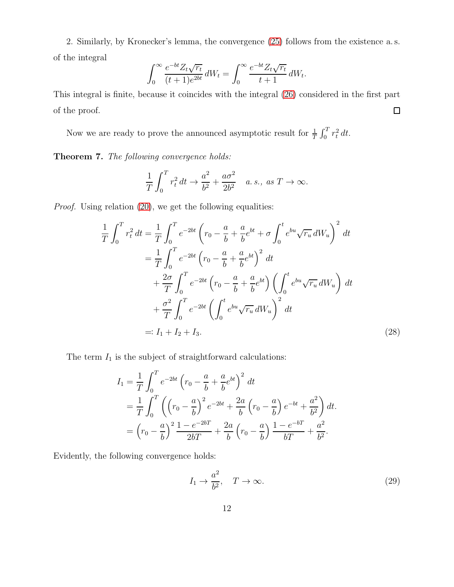2. Similarly, by Kronecker's lemma, the convergence [\(25\)](#page-10-2) follows from the existence a. s. of the integral

$$
\int_0^\infty \frac{e^{-bt}Z_t\sqrt{r_t}}{(t+1)e^{2bt}}\,dW_t = \int_0^\infty \frac{e^{-bt}Z_t\sqrt{r_t}}{t+1}\,dW_t.
$$

This integral is finite, because it coincides with the integral [\(26\)](#page-10-3) considered in the first part  $\Box$ of the proof.

Now we are ready to prove the announced asymptotic result for  $\frac{1}{T} \int_0^T r_t^2 dt$ .

<span id="page-11-0"></span>Theorem 7. The following convergence holds:

$$
\frac{1}{T} \int_0^T r_t^2 dt \to \frac{a^2}{b^2} + \frac{a\sigma^2}{2b^2} \quad a.s., \text{ as } T \to \infty.
$$

Proof. Using relation [\(20\)](#page-9-0), we get the following equalities:

$$
\frac{1}{T} \int_{0}^{T} r_{t}^{2} dt = \frac{1}{T} \int_{0}^{T} e^{-2bt} \left( r_{0} - \frac{a}{b} + \frac{a}{b} e^{bt} + \sigma \int_{0}^{t} e^{bu} \sqrt{r_{u}} dW_{u} \right)^{2} dt \n= \frac{1}{T} \int_{0}^{T} e^{-2bt} \left( r_{0} - \frac{a}{b} + \frac{a}{b} e^{bt} \right)^{2} dt \n+ \frac{2\sigma}{T} \int_{0}^{T} e^{-2bt} \left( r_{0} - \frac{a}{b} + \frac{a}{b} e^{bt} \right) \left( \int_{0}^{t} e^{bu} \sqrt{r_{u}} dW_{u} \right) dt \n+ \frac{\sigma^{2}}{T} \int_{0}^{T} e^{-2bt} \left( \int_{0}^{t} e^{bu} \sqrt{r_{u}} dW_{u} \right)^{2} dt \n=: I_{1} + I_{2} + I_{3}.
$$
\n(28)

The term  $I_1$  is the subject of straightforward calculations:

$$
I_1 = \frac{1}{T} \int_0^T e^{-2bt} \left( r_0 - \frac{a}{b} + \frac{a}{b} e^{bt} \right)^2 dt
$$
  
=  $\frac{1}{T} \int_0^T \left( \left( r_0 - \frac{a}{b} \right)^2 e^{-2bt} + \frac{2a}{b} \left( r_0 - \frac{a}{b} \right) e^{-bt} + \frac{a^2}{b^2} \right) dt$ .  
=  $\left( r_0 - \frac{a}{b} \right)^2 \frac{1 - e^{-2bT}}{2bT} + \frac{2a}{b} \left( r_0 - \frac{a}{b} \right) \frac{1 - e^{-bT}}{bT} + \frac{a^2}{b^2}$ .

Evidently, the following convergence holds:

<span id="page-11-2"></span><span id="page-11-1"></span>
$$
I_1 \to \frac{a^2}{b^2}, \quad T \to \infty.
$$
 (29)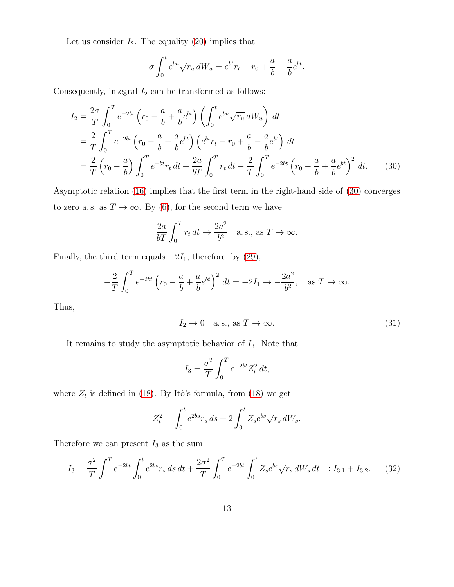Let us consider  $I_2$ . The equality [\(20\)](#page-9-0) implies that

$$
\sigma \int_0^t e^{bu} \sqrt{r_u} dW_u = e^{bt} r_t - r_0 + \frac{a}{b} - \frac{a}{b} e^{bt}.
$$

Consequently, integral  $I_2$  can be transformed as follows:

$$
I_2 = \frac{2\sigma}{T} \int_0^T e^{-2bt} \left( r_0 - \frac{a}{b} + \frac{a}{b} e^{bt} \right) \left( \int_0^t e^{bu} \sqrt{r_u} dW_u \right) dt
$$
  
\n
$$
= \frac{2}{T} \int_0^T e^{-2bt} \left( r_0 - \frac{a}{b} + \frac{a}{b} e^{bt} \right) \left( e^{bt} r_t - r_0 + \frac{a}{b} - \frac{a}{b} e^{bt} \right) dt
$$
  
\n
$$
= \frac{2}{T} \left( r_0 - \frac{a}{b} \right) \int_0^T e^{-bt} r_t dt + \frac{2a}{bT} \int_0^T r_t dt - \frac{2}{T} \int_0^T e^{-2bt} \left( r_0 - \frac{a}{b} + \frac{a}{b} e^{bt} \right)^2 dt. \tag{30}
$$

Asymptotic relation [\(16\)](#page-8-0) implies that the first term in the right-hand side of [\(30\)](#page-12-0) converges to zero a.s. as  $T\rightarrow\infty.$  By [\(6\)](#page-4-0), for the second term we have

<span id="page-12-0"></span>
$$
\frac{2a}{bT} \int_0^T r_t dt \to \frac{2a^2}{b^2} \quad \text{a.s., as } T \to \infty.
$$

Finally, the third term equals  $-2I_1$ , therefore, by [\(29\)](#page-11-1),

$$
-\frac{2}{T} \int_0^T e^{-2bt} \left( r_0 - \frac{a}{b} + \frac{a}{b} e^{bt} \right)^2 dt = -2I_1 \to -\frac{2a^2}{b^2}, \text{ as } T \to \infty.
$$

Thus,

−

<span id="page-12-2"></span>
$$
I_2 \to 0 \quad \text{a.s., as } T \to \infty. \tag{31}
$$

It remains to study the asymptotic behavior of  $I_3$ . Note that

$$
I_3 = \frac{\sigma^2}{T} \int_0^T e^{-2bt} Z_t^2 dt,
$$

where  $Z_t$  is defined in [\(18\)](#page-8-2). By Itô's formula, from (18) we get

$$
Z_t^2 = \int_0^t e^{2bs} r_s \, ds + 2 \int_0^t Z_s e^{bs} \sqrt{r_s} \, dW_s.
$$

Therefore we can present  $I_3$  as the sum

<span id="page-12-1"></span>
$$
I_3 = \frac{\sigma^2}{T} \int_0^T e^{-2bt} \int_0^t e^{2bs} r_s \, ds \, dt + \frac{2\sigma^2}{T} \int_0^T e^{-2bt} \int_0^t Z_s e^{bs} \sqrt{r_s} \, dW_s \, dt =: I_{3,1} + I_{3,2}. \tag{32}
$$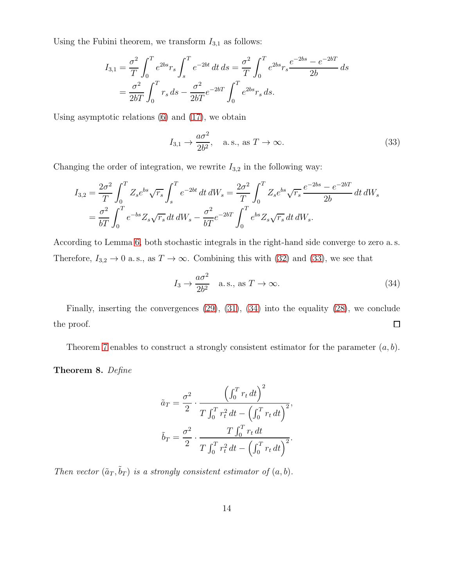Using the Fubini theorem, we transform  $I_{3,1}$  as follows:

$$
I_{3,1} = \frac{\sigma^2}{T} \int_0^T e^{2bs} r_s \int_s^T e^{-2bt} dt ds = \frac{\sigma^2}{T} \int_0^T e^{2bs} r_s \frac{e^{-2bs} - e^{-2bT}}{2b} ds
$$
  
=  $\frac{\sigma^2}{2bT} \int_0^T r_s ds - \frac{\sigma^2}{2bT} e^{-2bT} \int_0^T e^{2bs} r_s ds.$ 

Using asymptotic relations [\(6\)](#page-4-0) and [\(17\)](#page-8-1), we obtain

<span id="page-13-1"></span>
$$
I_{3,1} \rightarrow \frac{a\sigma^2}{2b^2}
$$
, a.s., as  $T \rightarrow \infty$ . (33)

Changing the order of integration, we rewrite  $I_{3,2}$  in the following way:

$$
I_{3,2} = \frac{2\sigma^2}{T} \int_0^T Z_s e^{bs} \sqrt{r_s} \int_s^T e^{-2bt} dt dW_s = \frac{2\sigma^2}{T} \int_0^T Z_s e^{bs} \sqrt{r_s} \frac{e^{-2bs} - e^{-2bT}}{2b} dt dW_s
$$
  
=  $\frac{\sigma^2}{bT} \int_0^T e^{-bs} Z_s \sqrt{r_s} dt dW_s - \frac{\sigma^2}{bT} e^{-2bT} \int_0^T e^{bs} Z_s \sqrt{r_s} dt dW_s.$ 

According to Lemma [6,](#page-10-4) both stochastic integrals in the right-hand side converge to zero a. s. Therefore,  $I_{3,2} \to 0$  a.s., as  $T \to \infty$ . Combining this with [\(32\)](#page-12-1) and [\(33\)](#page-13-1), we see that

<span id="page-13-2"></span>
$$
I_3 \to \frac{a\sigma^2}{2b^2} \quad \text{a.s., as } T \to \infty. \tag{34}
$$

Finally, inserting the convergences [\(29\)](#page-11-1), [\(31\)](#page-12-2), [\(34\)](#page-13-2) into the equality [\(28\)](#page-11-2), we conclude  $\Box$ the proof.

Theorem [7](#page-11-0) enables to construct a strongly consistent estimator for the parameter  $(a, b)$ .

<span id="page-13-0"></span>Theorem 8. Define

$$
\tilde{a}_T = \frac{\sigma^2}{2} \cdot \frac{\left(\int_0^T r_t dt\right)^2}{T \int_0^T r_t^2 dt - \left(\int_0^T r_t dt\right)^2},
$$

$$
\tilde{b}_T = \frac{\sigma^2}{2} \cdot \frac{T \int_0^T r_t dt}{T \int_0^T r_t^2 dt - \left(\int_0^T r_t dt\right)^2}.
$$

Then vector  $(\tilde{a}_T, \tilde{b}_T)$  is a strongly consistent estimator of  $(a, b)$ .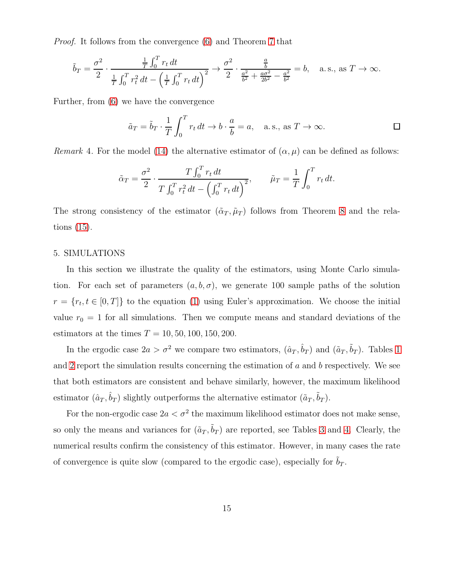Proof. It follows from the convergence [\(6\)](#page-4-0) and Theorem [7](#page-11-0) that

$$
\tilde{b}_T = \frac{\sigma^2}{2} \cdot \frac{\frac{1}{T} \int_0^T r_t dt}{\frac{1}{T} \int_0^T r_t^2 dt - \left(\frac{1}{T} \int_0^T r_t dt\right)^2} \to \frac{\sigma^2}{2} \cdot \frac{\frac{a}{b}}{\frac{a^2}{b^2} + \frac{a\sigma^2}{2b^2} - \frac{a^2}{b^2}} = b, \quad \text{a.s., as } T \to \infty.
$$

Further, from [\(6\)](#page-4-0) we have the convergence

$$
\tilde{a}_T = \tilde{b}_T \cdot \frac{1}{T} \int_0^T r_t dt \to b \cdot \frac{a}{b} = a
$$
, a.s., as  $T \to \infty$ .

Remark 4. For the model [\(14\)](#page-7-0) the alternative estimator of  $(\alpha, \mu)$  can be defined as follows:

$$
\tilde{\alpha}_T = \frac{\sigma^2}{2} \cdot \frac{T \int_0^T r_t dt}{T \int_0^T r_t^2 dt - (\int_0^T r_t dt)^2}, \qquad \tilde{\mu}_T = \frac{1}{T} \int_0^T r_t dt.
$$

The strong consistency of the estimator  $(\tilde{\alpha}_T, \tilde{\mu}_T)$  follows from Theorem [8](#page-13-0) and the relations [\(15\)](#page-7-1).

#### 5. SIMULATIONS

In this section we illustrate the quality of the estimators, using Monte Carlo simulation. For each set of parameters  $(a, b, \sigma)$ , we generate 100 sample paths of the solution  $r = \{r_t, t \in [0, T]\}$  to the equation [\(1\)](#page-0-0) using Euler's approximation. We choose the initial value  $r_0 = 1$  for all simulations. Then we compute means and standard deviations of the estimators at the times  $T = 10, 50, 100, 150, 200$ .

In the ergodic case  $2a > \sigma^2$  we compare two estimators,  $(\hat{a}_T, \hat{b}_T)$  and  $(\tilde{a}_T, \tilde{b}_T)$ . Tables [1](#page-15-0) and [2](#page-16-0) report the simulation results concerning the estimation of a and b respectively. We see that both estimators are consistent and behave similarly, however, the maximum likelihood estimator  $(\hat{a}_T, \hat{b}_T)$  slightly outperforms the alternative estimator  $(\tilde{a}_T, \tilde{b}_T)$ .

For the non-ergodic case  $2a < \sigma^2$  the maximum likelihood estimator does not make sense, so only the means and variances for  $(\tilde{a}_T, \tilde{b}_T)$  are reported, see Tables [3](#page-17-0) and [4.](#page-18-0) Clearly, the numerical results confirm the consistency of this estimator. However, in many cases the rate of convergence is quite slow (compared to the ergodic case), especially for  $b_T$ .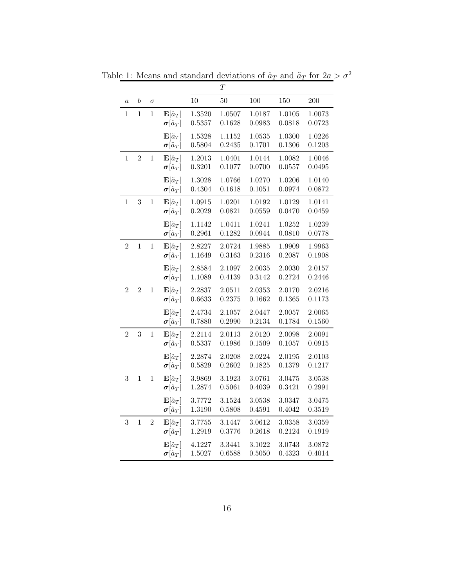<span id="page-15-0"></span>

|                |                  |                |                                                             |                  | T                |                  |                  |                  |
|----------------|------------------|----------------|-------------------------------------------------------------|------------------|------------------|------------------|------------------|------------------|
| $\it a$        | $\boldsymbol{b}$ | $\sigma$       |                                                             | 10               | 50               | 100              | 150              | 200              |
| 1              | $\overline{1}$   | $\,1$          | $\mathbf{E}[\hat{a}_T]$<br>$\pmb{\sigma}[\hat{a}_T]$        | 1.3520<br>0.5357 | 1.0507<br>0.1628 | 1.0187<br>0.0983 | 1.0105<br>0.0818 | 1.0073<br>0.0723 |
|                |                  |                | ${\rm \bf E}[\tilde a_T]$<br>$\pmb{\sigma}[\tilde{a}_T]$    | 1.5328<br>0.5804 | 1.1152<br>0.2435 | 1.0535<br>0.1701 | 1.0300<br>0.1306 | 1.0226<br>0.1203 |
| $\,1$          | $\overline{2}$   | $\mathbf{1}$   | $\mathbf{E}[\hat{a}_T]$<br>$\pmb{\sigma}[\hat{a}_T]$        | 1.2013<br>0.3201 | 1.0401<br>0.1077 | 1.0144<br>0.0700 | 1.0082<br>0.0557 | 1.0046<br>0.0495 |
|                |                  |                | $\mathbf{E}[\tilde{a}_T]$<br>$\pmb{\sigma}[\tilde{a}_T]$    | 1.3028<br>0.4304 | 1.0766<br>0.1618 | 1.0270<br>0.1051 | 1.0206<br>0.0974 | 1.0140<br>0.0872 |
| $\mathbf{1}$   | 3                | $\,1$          | ${\rm \bf E}[\hat a_T]$<br>$\pmb{\sigma}[\hat{a}_T]$        | 1.0915<br>0.2029 | 1.0201<br>0.0821 | 1.0192<br>0.0559 | 1.0129<br>0.0470 | 1.0141<br>0.0459 |
|                |                  |                | ${\bf E}[\tilde a_T]$<br>$\pmb{\sigma}[\tilde{a}_T]$        | 1.1142<br>0.2961 | 1.0411<br>0.1282 | 1.0241<br>0.0944 | 1.0252<br>0.0810 | 1.0239<br>0.0778 |
| $\overline{2}$ | $\overline{1}$   | $\mathbf 1$    | ${\rm \bf E}[\hat a_T]$<br>$\boldsymbol{\sigma}[\hat{a}_T]$ | 2.8227<br>1.1649 | 2.0724<br>0.3163 | 1.9885<br>0.2316 | 1.9909<br>0.2087 | 1.9963<br>0.1908 |
|                |                  |                | ${\bf E}[\tilde a_T]$<br>$\pmb{\sigma}[\tilde{a}_T]$        | 2.8584<br>1.1089 | 2.1097<br>0.4139 | 2.0035<br>0.3142 | 2.0030<br>0.2724 | 2.0157<br>0.2446 |
| $\overline{2}$ | $\overline{2}$   | $\,1$          | ${\bf E}[\hat a_T]$<br>$\pmb{\sigma}[\hat{a}_T]$            | 2.2837<br>0.6633 | 2.0511<br>0.2375 | 2.0353<br>0.1662 | 2.0170<br>0.1365 | 2.0216<br>0.1173 |
|                |                  |                | ${\bf E}[\tilde a_T]$<br>$\pmb{\sigma}[\tilde{a}_T]$        | 2.4734<br>0.7880 | 2.1057<br>0.2990 | 2.0447<br>0.2134 | 2.0057<br>0.1784 | 2.0065<br>0.1560 |
| $\overline{2}$ | 3                | $\mathbf{1}$   | $\mathbf{E}[\hat{a}_T]$<br>$\boldsymbol{\sigma}[\hat{a}_T]$ | 2.2114<br>0.5337 | 2.0113<br>0.1986 | 2.0120<br>0.1509 | 2.0098<br>0.1057 | 2.0091<br>0.0915 |
|                |                  |                | ${\bf E}[\tilde a_T]$<br>$\pmb{\sigma}[\tilde{a}_T]$        | 2.2874<br>0.5829 | 2.0208<br>0.2602 | 2.0224<br>0.1825 | 2.0195<br>0.1379 | 2.0103<br>0.1217 |
| $\sqrt{3}$     | $\mathbf{1}$     | $\,1$          | $\mathbf{E}[\hat{a}_T]$<br>$\pmb{\sigma}[\hat{a}_T]$        | 3.9869<br>1.2874 | 3.1923<br>0.5061 | 3.0761<br>0.4039 | 3.0475<br>0.3421 | 3.0538<br>0.2991 |
|                |                  |                | ${\bf E}[\tilde a_T]$<br>$\pmb{\sigma}[\tilde{a}_T]$        | 3.7772<br>1.3190 | 3.1524<br>0.5808 | 3.0538<br>0.4591 | 3.0347<br>0.4042 | 3.0475<br>0.3519 |
| $\overline{3}$ | $\mathbf{1}$     | $\overline{2}$ | $\mathbf{E}[\hat{a}_T]$<br>$\pmb{\sigma}[\hat{a}_T]$        | 3.7755<br>1.2919 | 3.1447<br>0.3776 | 3.0612<br>0.2618 | 3.0358<br>0.2124 | 3.0359<br>0.1919 |
|                |                  |                | ${\rm \bf E}[\tilde a_T]$<br>$\pmb{\sigma}[\tilde{a}_T]$    | 4.1227<br>1.5027 | 3.3441<br>0.6588 | 3.1022<br>0.5050 | 3.0743<br>0.4323 | 3.0872<br>0.4014 |

Table 1: Means and standard deviations of  $\hat{a}_T$  and  $\tilde{a}_T$  for  $2a > \sigma^2$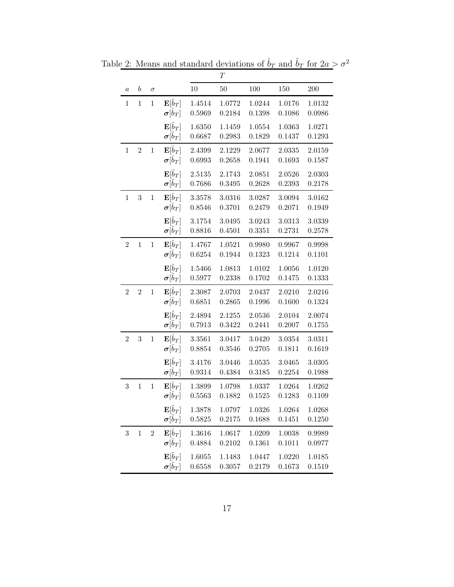<span id="page-16-0"></span>

|                |                  |              |                                                             |                  | $\boldsymbol{T}$ |                  |                  |                  |
|----------------|------------------|--------------|-------------------------------------------------------------|------------------|------------------|------------------|------------------|------------------|
| $\it a$        | $\boldsymbol{b}$ | $\sigma$     |                                                             | 10               | 50               | 100              | 150              | 200              |
| $\mathbf{1}$   | $\mathbf{1}$     | $\mathbf{1}$ | $\mathbf{E}[\hat{b}_T]$                                     | 1.4514           | 1.0772           | 1.0244           | 1.0176           | 1.0132           |
|                |                  |              | $\pmb{\sigma}[\hat{b}_T]$                                   | 0.5969           | 0.2184           | 0.1398           | 0.1086           | 0.0986           |
|                |                  |              | $\mathbf{E}[\tilde{b}_T]$                                   | 1.6350           | 1.1459           | 1.0554           | 1.0363           | 1.0271           |
|                |                  |              | $\sigma[b_T]$                                               | 0.6687           | 0.2983           | 0.1829           | 0.1437           | 0.1293           |
| $\,1$          | $\overline{2}$   | $\mathbf 1$  | $\mathbf{E}[\hat{b}_T]$                                     | 2.4399           | 2.1229           | 2.0677           | 2.0335           | 2.0159           |
|                |                  |              | $\boldsymbol{\sigma}[\hat{b}_T]$                            | 0.6993           | 0.2658           | 0.1941           | 0.1693           | 0.1587           |
|                |                  |              | $\mathbf{E}[\tilde{b}_T]$                                   | 2.5135           | 2.1743           | 2.0851           | 2.0526           | 2.0303           |
|                |                  |              | $\pmb{\sigma}[\bar{b}_T]$                                   | 0.7686           | 0.3495           | 0.2628           | 0.2393           | 0.2178           |
| $\,1\,$        | $\sqrt{3}$       | $\mathbf{1}$ | $\mathbf{E}[\hat{b}_T]$                                     | 3.3578           | 3.0316           | 3.0287           | 3.0094           | 3.0162           |
|                |                  |              | $\pmb{\sigma}[\hat{b}_T]$                                   | 0.8546           | 0.3701           | 0.2479           | 0.2071           | 0.1949           |
|                |                  |              | $\mathbf{E}[\tilde{b}_T]$                                   | 3.1754           | 3.0495           | 3.0243           | 3.0313           | 3.0339           |
|                |                  |              | $\pmb{\sigma}[\bar{b}_T]$                                   | 0.8816           | 0.4501           | 0.3351           | 0.2731           | 0.2578           |
| $\overline{2}$ | $\,1$            | $\,1$        | $\mathbf{E}[\hat{b}_T]$                                     | 1.4767           | 1.0521           | 0.9980           | 0.9967           | 0.9998           |
|                |                  |              | $\boldsymbol{\sigma}[\hat{b}_T]$                            | 0.6254           | 0.1944           | 0.1323           | 0.1214           | 0.1101           |
|                |                  |              | $\mathbf{E}[\tilde{b}_T]$<br>$\sigma[\tilde{b}_T]$          | 1.5466<br>0.5977 | 1.0813<br>0.2338 | 1.0102<br>0.1702 | 1.0056<br>0.1475 | 1.0120<br>0.1333 |
|                |                  |              |                                                             |                  |                  |                  |                  |                  |
| $\sqrt{2}$     | $\overline{2}$   | $\,1$        | $\mathbf{E}[\hat{b}_T]$<br>$\boldsymbol{\sigma}[\hat{b}_T]$ | 2.3087<br>0.6851 | 2.0703<br>0.2865 | 2.0437<br>0.1996 | 2.0210<br>0.1600 | 2.0216<br>0.1324 |
|                |                  |              |                                                             |                  |                  |                  |                  |                  |
|                |                  |              | $\mathbf{E}[\tilde{b}_T]$<br>$\pmb{\sigma}[\bar{b}_T]$      | 2.4894<br>0.7913 | 2.1255<br>0.3422 | 2.0536<br>0.2441 | 2.0104<br>0.2007 | 2.0074<br>0.1755 |
| $\overline{2}$ | 3                | $\mathbf{1}$ | $\mathbf{E}[\hat{b}_T]$                                     | 3.3561           | 3.0417           | 3.0420           | 3.0354           | 3.0311           |
|                |                  |              | $\pmb{\sigma}[\hat{b}_T]$                                   | 0.8854           | 0.3546           | 0.2705           | 0.1811           | 0.1619           |
|                |                  |              | $\mathbf{E}[\tilde{b}_T]$                                   | 3.4176           | 3.0446           | 3.0535           | 3.0465           | 3.0305           |
|                |                  |              | $\pmb{\sigma}[\bar{b}_T]$                                   | 0.9314           | 0.4384           | 0.3185           | 0.2254           | 0.1988           |
| 3              | $\,1$            | $\,1$        | $\mathbf{E}[\hat{b}_T]$                                     | 1.3899           | 1.0798           | 1.0337           | 1.0264           | 1.0262           |
|                |                  |              | $\boldsymbol{\sigma}[b_T]$                                  | 0.5563           | 0.1882           | 0.1525           | 0.1283           | 0.1109           |
|                |                  |              | $\mathbf{E}[b_T]$                                           | 1.3878           | 1.0797           | 1.0326           | 1.0264           | 1.0268           |
|                |                  |              | $\pmb{\sigma}[\tilde{b}_T]$                                 | 0.5825           | 0.2175           | 0.1688           | 0.1451           | 0.1250           |
| $\sqrt{3}$     | $\mathbf{1}$     | $\sqrt{2}$   | $\mathbf{E}[\hat{b}_T]$                                     | 1.3616           | 1.0617           | 1.0209           | 1.0038           | 0.9989           |
|                |                  |              | $\boldsymbol{\sigma}[\hat{b}_T]$                            | 0.4884           | 0.2102           | 0.1361           | 0.1011           | 0.0977           |
|                |                  |              | $\mathbf{E}[\tilde{b}_T]$                                   | 1.6055           | 1.1483           | 1.0447           | 1.0220           | 1.0185           |
|                |                  |              | $\pmb{\sigma}[\tilde{b}_T]$                                 | 0.6558           | 0.3057           | 0.2179           | 0.1673           | 0.1519           |

Table 2: Means and standard deviations of  $\hat{b}_T$  and  $\tilde{b}_T$  for  $2a > \sigma^2$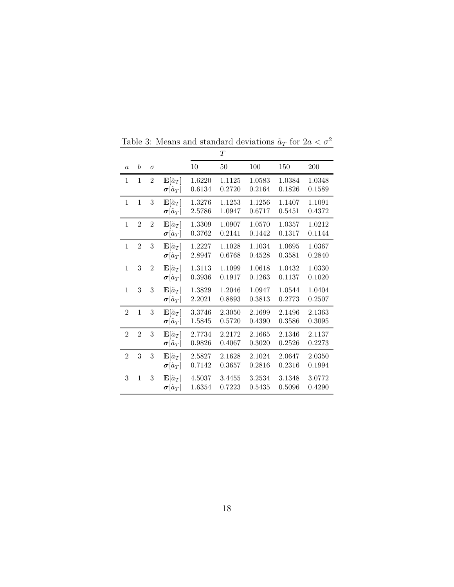|                |                  |                |                                                          |                  | $\scriptstyle T$ |                  |                  |                  |
|----------------|------------------|----------------|----------------------------------------------------------|------------------|------------------|------------------|------------------|------------------|
| $\overline{a}$ | $\boldsymbol{b}$ | $\sigma$       |                                                          | $10\,$           | 50               | 100              | 150              | 200              |
| 1              | 1                | $\overline{2}$ | ${\rm \bf E}[\tilde a_T]$<br>$\pmb{\sigma}[\tilde{a}_T]$ | 1.6220<br>0.6134 | 1.1125<br>0.2720 | 1.0583<br>0.2164 | 1.0384<br>0.1826 | 1.0348<br>0.1589 |
| $\mathbf{1}$   | $\mathbf{1}$     | 3              | ${\bf E}[\tilde a_T]$<br>$\pmb{\sigma}[\tilde{a}_T]$     | 1.3276<br>2.5786 | 1.1253<br>1.0947 | 1.1256<br>0.6717 | 1.1407<br>0.5451 | 1.1091<br>0.4372 |
| $\mathbf{1}$   | $\overline{2}$   | $\overline{2}$ | ${\bf E}[\tilde a_T]$<br>$\pmb{\sigma}[\tilde{a}_T]$     | 1.3309<br>0.3762 | 1.0907<br>0.2141 | 1.0570<br>0.1442 | 1.0357<br>0.1317 | 1.0212<br>0.1144 |
| 1              | $\overline{2}$   | 3              | ${\rm E}[\tilde a_T]$<br>$\pmb{\sigma}[\tilde{a}_T]$     | 1.2227<br>2.8947 | 1.1028<br>0.6768 | 1.1034<br>0.4528 | 1.0695<br>0.3581 | 1.0367<br>0.2840 |
| $\mathbf{1}$   | 3                | $\mathbf{2}$   | ${\bf E}[\tilde a_T]$<br>$\pmb{\sigma}[\tilde{a}_T]$     | 1.3113<br>0.3936 | 1.1099<br>0.1917 | 1.0618<br>0.1263 | 1.0432<br>0.1137 | 1.0330<br>0.1020 |
| $\mathbf{1}$   | 3                | $\sqrt{3}$     | ${\bf E}[\tilde a_T]$<br>$\pmb{\sigma}[\tilde{a}_T]$     | 1.3829<br>2.2021 | 1.2046<br>0.8893 | 1.0947<br>0.3813 | 1.0544<br>0.2773 | 1.0404<br>0.2507 |
| $\overline{2}$ | $\mathbf{1}$     | 3              | ${\rm \bf E}[\tilde a_T]$<br>$\pmb{\sigma}[\tilde{a}_T]$ | 3.3746<br>1.5845 | 2.3050<br>0.5720 | 2.1699<br>0.4390 | 2.1496<br>0.3586 | 2.1363<br>0.3095 |
| $\overline{2}$ | $\overline{2}$   | 3              | ${\bf E}[\tilde a_T]$<br>$\pmb{\sigma}[\tilde{a}_T]$     | 2.7734<br>0.9826 | 2.2172<br>0.4067 | 2.1665<br>0.3020 | 2.1346<br>0.2526 | 2.1137<br>0.2273 |
| $\overline{2}$ | 3                | 3              | ${\bf E}[\tilde a_T]$<br>$\pmb{\sigma}[\tilde{a}_T]$     | 2.5827<br>0.7142 | 2.1628<br>0.3657 | 2.1024<br>0.2816 | 2.0647<br>0.2316 | 2.0350<br>0.1994 |
| 3              | $\mathbf{1}$     | 3              | $\mathbf{E}[\tilde{a}_T]$<br>$\pmb{\sigma}[\tilde{a}_T]$ | 4.5037<br>1.6354 | 3.4455<br>0.7223 | 3.2534<br>0.5435 | 3.1348<br>0.5096 | 3.0772<br>0.4290 |

<span id="page-17-0"></span>Table 3: Means and standard deviations  $\tilde{a}_T$  for  $2a < \sigma^2$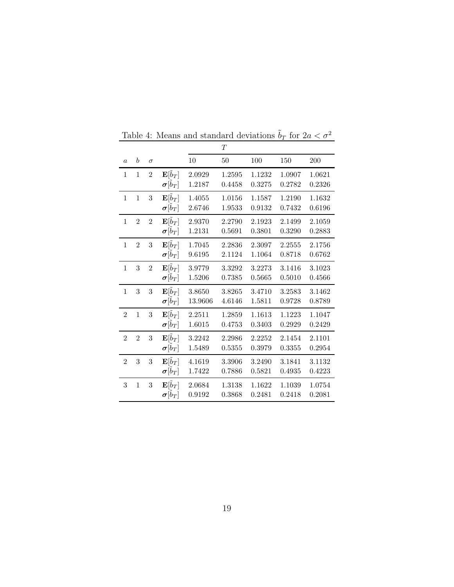|                |                  |                |                                                         |                   | $\boldsymbol{T}$ |                  |                  |                  |
|----------------|------------------|----------------|---------------------------------------------------------|-------------------|------------------|------------------|------------------|------------------|
| $\overline{a}$ | $\boldsymbol{b}$ | $\sigma$       |                                                         | 10                | 50               | 100              | 150              | 200              |
| $\mathbf{1}$   | $\mathbf{1}$     | $\overline{2}$ | $\mathbf{E}[\tilde{b}_T]$<br>$\boldsymbol{\sigma}[b_T]$ | 2.0929<br>1.2187  | 1.2595<br>0.4458 | 1.1232<br>0.3275 | 1.0907<br>0.2782 | 1.0621<br>0.2326 |
| $\mathbf{1}$   | $\mathbf{1}$     | 3              | $\mathbf{E}[\tilde{b}_T]$<br>$\boldsymbol{\sigma}[b_T]$ | 1.4055<br>2.6746  | 1.0156<br>1.9533 | 1.1587<br>0.9132 | 1.2190<br>0.7432 | 1.1632<br>0.6196 |
| $\mathbf{1}$   | $\overline{2}$   | $\overline{2}$ | $\mathbf{E}[\tilde{b}_T]$<br>$\pmb{\sigma}[\dot{b}_T]$  | 2.9370<br>1.2131  | 2.2790<br>0.5691 | 2.1923<br>0.3801 | 2.1499<br>0.3290 | 2.1059<br>0.2883 |
| $\mathbf{1}$   | $\overline{2}$   | 3              | $\mathbf{E}[\tilde{b}_T]$<br>$\boldsymbol{\sigma}[b_T]$ | 1.7045<br>9.6195  | 2.2836<br>2.1124 | 2.3097<br>1.1064 | 2.2555<br>0.8718 | 2.1756<br>0.6762 |
| $\mathbf{1}$   | 3                | $\overline{2}$ | $\mathbf{E}[\tilde{b}_T]$<br>$\pmb{\sigma}[\dot{b}_T]$  | 3.9779<br>1.5206  | 3.3292<br>0.7385 | 3.2273<br>0.5665 | 3.1416<br>0.5010 | 3.1023<br>0.4566 |
| $\mathbf{1}$   | 3                | $\sqrt{3}$     | $\mathbf{E}[\tilde{b}_T]$<br>$\pmb{\sigma}[\dot{b}_T]$  | 3.8650<br>13.9606 | 3.8265<br>4.6146 | 3.4710<br>1.5811 | 3.2583<br>0.9728 | 3.1462<br>0.8789 |
| $\overline{2}$ | $\mathbf{1}$     | $\sqrt{3}$     | $\mathbf{E}[\tilde{b}_T]$<br>$\pmb{\sigma}[\dot{b}_T]$  | 2.2511<br>1.6015  | 1.2859<br>0.4753 | 1.1613<br>0.3403 | 1.1223<br>0.2929 | 1.1047<br>0.2429 |
| $\overline{2}$ | $\overline{2}$   | 3              | $\mathbf{E}[\tilde{b}_T]$<br>$\pmb{\sigma}[\dot{b}_T]$  | 3.2242<br>1.5489  | 2.2986<br>0.5355 | 2.2252<br>0.3979 | 2.1454<br>0.3355 | 2.1101<br>0.2954 |
| $\overline{2}$ | 3                | $\sqrt{3}$     | $\mathbf{E}[\tilde{b}_T]$<br>$\boldsymbol{\sigma}[b_T]$ | 4.1619<br>1.7422  | 3.3906<br>0.7886 | 3.2490<br>0.5821 | 3.1841<br>0.4935 | 3.1132<br>0.4223 |
| 3              | $\mathbf{1}$     | 3              | $\mathbf{E}[\tilde{b}_T]$<br>$\boldsymbol{\sigma}[b_T]$ | 2.0684<br>0.9192  | 1.3138<br>0.3868 | 1.1622<br>0.2481 | 1.1039<br>0.2418 | 1.0754<br>0.2081 |

<span id="page-18-0"></span>Table 4: Means and standard deviations  $\tilde{b}_T$  for  $2a < \sigma^2$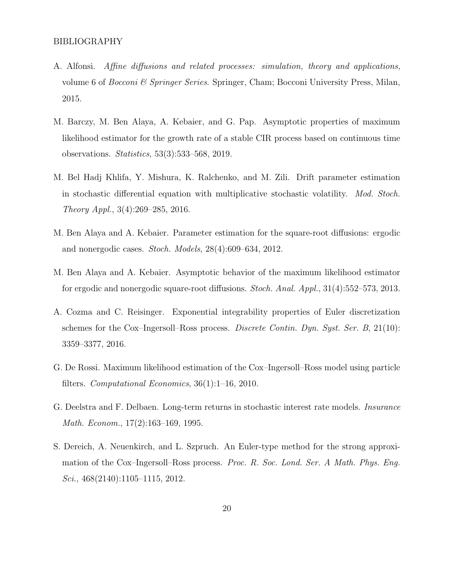- <span id="page-19-8"></span>A. Alfonsi. Affine diffusions and related processes: simulation, theory and applications, volume 6 of *Bocconi & Springer Series*. Springer, Cham; Bocconi University Press, Milan, 2015.
- <span id="page-19-1"></span>M. Barczy, M. Ben Alaya, A. Kebaier, and G. Pap. Asymptotic properties of maximum likelihood estimator for the growth rate of a stable CIR process based on continuous time observations. Statistics, 53(3):533–568, 2019.
- <span id="page-19-7"></span>M. Bel Hadj Khlifa, Y. Mishura, K. Ralchenko, and M. Zili. Drift parameter estimation in stochastic differential equation with multiplicative stochastic volatility. Mod. Stoch. Theory Appl., 3(4):269–285, 2016.
- <span id="page-19-2"></span>M. Ben Alaya and A. Kebaier. Parameter estimation for the square-root diffusions: ergodic and nonergodic cases. Stoch. Models, 28(4):609–634, 2012.
- <span id="page-19-3"></span>M. Ben Alaya and A. Kebaier. Asymptotic behavior of the maximum likelihood estimator for ergodic and nonergodic square-root diffusions. Stoch. Anal. Appl., 31(4):552–573, 2013.
- <span id="page-19-4"></span>A. Cozma and C. Reisinger. Exponential integrability properties of Euler discretization schemes for the Cox–Ingersoll–Ross process. Discrete Contin. Dyn. Syst. Ser. B,  $21(10)$ : 3359–3377, 2016.
- <span id="page-19-0"></span>G. De Rossi. Maximum likelihood estimation of the Cox–Ingersoll–Ross model using particle filters. Computational Economics, 36(1):1–16, 2010.
- <span id="page-19-5"></span>G. Deelstra and F. Delbaen. Long-term returns in stochastic interest rate models. Insurance Math. Econom., 17(2):163–169, 1995.
- <span id="page-19-6"></span>S. Dereich, A. Neuenkirch, and L. Szpruch. An Euler-type method for the strong approximation of the Cox–Ingersoll–Ross process. Proc. R. Soc. Lond. Ser. A Math. Phys. Eng. Sci.,  $468(2140):1105-1115$ ,  $2012$ .